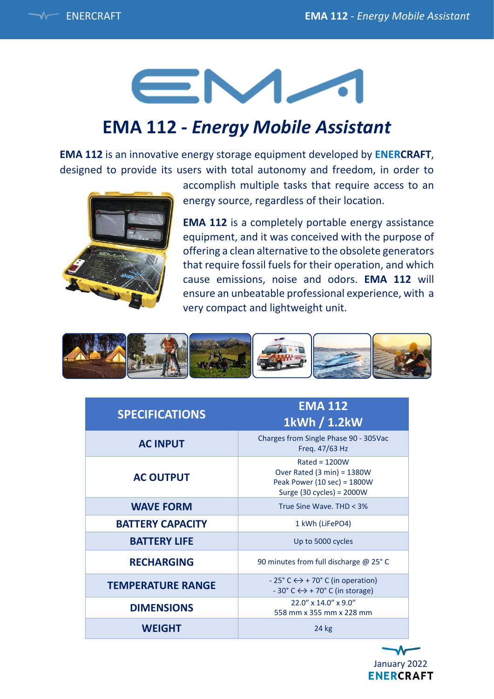# EM-

## **EMA 112 -** *Energy Mobile Assistant*

**EMA 112** is an innovative energy storage equipment developed by **ENERCRAFT**, designed to provide its users with total autonomy and freedom, in order to



accomplish multiple tasks that require access to an energy source, regardless of their location.

**EMA 112** is a completely portable energy assistance equipment, and it was conceived with the purpose of offering a clean alternative to the obsolete generators that require fossil fuels for their operation, and which cause emissions, noise and odors. **EMA 112** will ensure an unbeatable professional experience, with a very compact and lightweight unit.



| <b>SPECIFICATIONS</b>    | <b>EMA 112</b><br>1kWh / 1.2kW                                                                                     |
|--------------------------|--------------------------------------------------------------------------------------------------------------------|
| <b>AC INPUT</b>          | Charges from Single Phase 90 - 305Vac<br>Freq. 47/63 Hz                                                            |
| <b>AC OUTPUT</b>         | $Rated = 1200W$<br>Over Rated $(3 min) = 1380W$<br>Peak Power (10 sec) = 1800W<br>Surge (30 cycles) = $2000W$      |
| <b>WAVE FORM</b>         | True Sine Wave, THD < 3%                                                                                           |
| <b>BATTERY CAPACITY</b>  | 1 kWh (LiFePO4)                                                                                                    |
| <b>BATTERY LIFE</b>      | Up to 5000 cycles                                                                                                  |
| <b>RECHARGING</b>        | 90 minutes from full discharge @ 25° C                                                                             |
| <b>TEMPERATURE RANGE</b> | $-25^{\circ}$ C $\leftrightarrow$ + 70° C (in operation)<br>$-30^{\circ}$ C $\leftrightarrow$ + 70° C (in storage) |
| <b>DIMENSIONS</b>        | 22.0" x 14.0" x 9.0"<br>558 mm x 355 mm x 228 mm                                                                   |
| <b>WEIGHT</b>            | 24 kg                                                                                                              |